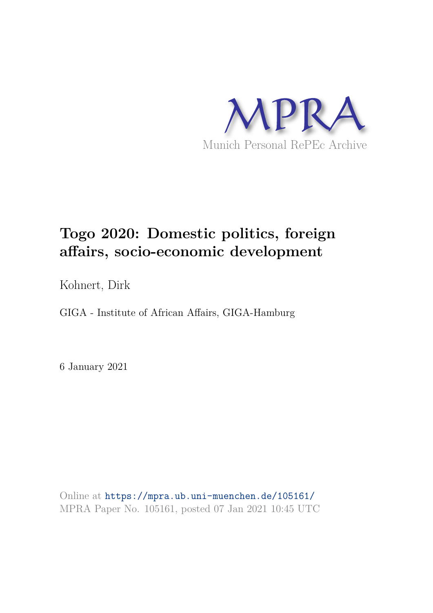

# **Togo 2020: Domestic politics, foreign affairs, socio-economic development**

Kohnert, Dirk

GIGA - Institute of African Affairs, GIGA-Hamburg

6 January 2021

Online at https://mpra.ub.uni-muenchen.de/105161/ MPRA Paper No. 105161, posted 07 Jan 2021 10:45 UTC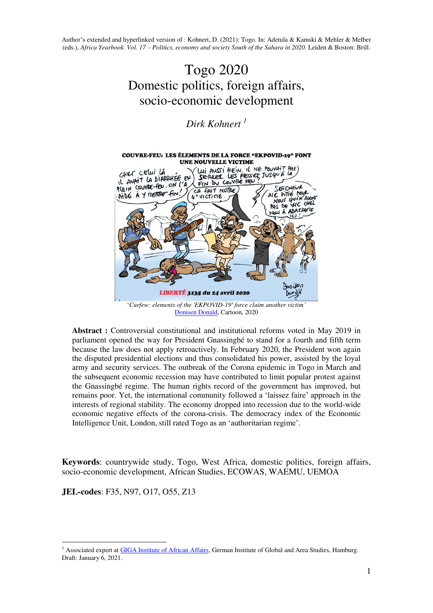## Togo 2020 Domestic politics, foreign affairs, socio-economic development

### *Dirk Kohnert <sup>1</sup>*



[Donisen Donald,](https://www.facebook.com/donisenproduction/photos/a.675176546012573/1362902863906601/?type=3&theater) Cartoon, 2020

**Abstract :** Controversial constitutional and institutional reforms voted in May 2019 in parliament opened the way for President Gnassingbé to stand for a fourth and fifth term because the law does not apply retroactively. In February 2020, the President won again the disputed presidential elections and thus consolidated his power, assisted by the loyal army and security services. The outbreak of the Corona epidemic in Togo in March and the subsequent economic recession may have contributed to limit popular protest against the Gnassingbé regime. The human rights record of the government has improved, but remains poor. Yet, the international community followed a 'laissez faire' approach in the interests of regional stability. The economy dropped into recession due to the world-wide economic negative effects of the corona-crisis. The democracy index of the Economic Intelligence Unit, London, still rated Togo as an 'authoritarian regime'.

**Keywords**: countrywide study, Togo, West Africa, domestic politics, foreign affairs, socio-economic development, African Studies, ECOWAS, WAEMU, UEMOA

**JEL-codes**: F35, N97, O17, O55, Z13

<sup>1</sup> <sup>1</sup> Associated expert a[t GIGA Institute of African Affairs,](https://www.giga-hamburg.de/en/institutes/giga-institute-for-african-affairs/) German Institute of Global and Area Studies, Hamburg. Draft: January 6, 2021.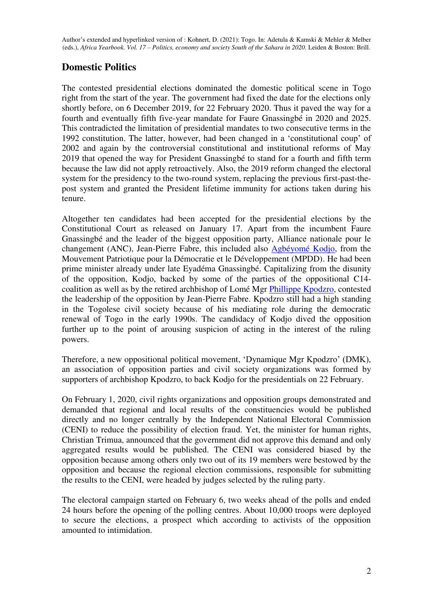#### **Domestic Politics**

The contested presidential elections dominated the domestic political scene in Togo right from the start of the year. The government had fixed the date for the elections only shortly before, on 6 December 2019, for 22 February 2020. Thus it paved the way for a fourth and eventually fifth five-year mandate for Faure Gnassingbé in 2020 and 2025. This contradicted the limitation of presidential mandates to two consecutive terms in the 1992 constitution. The latter, however, had been changed in a 'constitutional coup' of 2002 and again by the controversial constitutional and institutional reforms of May 2019 that opened the way for President Gnassingbé to stand for a fourth and fifth term because the law did not apply retroactively. Also, the 2019 reform changed the electoral system for the presidency to the two-round system, replacing the previous first-past-thepost system and granted the President lifetime immunity for actions taken during his tenure.

Altogether ten candidates had been accepted for the presidential elections by the Constitutional Court as released on January 17. Apart from the incumbent Faure Gnassingbé and the leader of the biggest opposition party, Alliance nationale pour le changement (ANC), Jean-Pierre Fabre, this included also [Agbéyomé Kodjo,](https://en.wikipedia.org/wiki/Agb%C3%A9yom%C3%A9_Kodjo) from the Mouvement Patriotique pour la Démocratie et le Développement (MPDD). He had been prime minister already under late Eyadéma Gnassingbé. Capitalizing from the disunity of the opposition, Kodjo, backed by some of the parties of the oppositional C14 coalition as well as by the retired archbishop of Lomé Mgr [Phillippe Kpodzro,](https://en.wikipedia.org/wiki/Philippe_Fanoko_Kpodzro) contested the leadership of the opposition by Jean-Pierre Fabre. Kpodzro still had a high standing in the Togolese civil society because of his mediating role during the democratic renewal of Togo in the early 1990s. The candidacy of Kodjo dived the opposition further up to the point of arousing suspicion of acting in the interest of the ruling powers.

Therefore, a new oppositional political movement, 'Dynamique Mgr Kpodzro' (DMK), an association of opposition parties and civil society organizations was formed by supporters of archbishop Kpodzro, to back Kodjo for the presidentials on 22 February.

On February 1, 2020, civil rights organizations and opposition groups demonstrated and demanded that regional and local results of the constituencies would be published directly and no longer centrally by the Independent National Electoral Commission (CENI) to reduce the possibility of election fraud. Yet, the minister for human rights, Christian Trimua, announced that the government did not approve this demand and only aggregated results would be published. The CENI was considered biased by the opposition because among others only two out of its 19 members were bestowed by the opposition and because the regional election commissions, responsible for submitting the results to the CENI, were headed by judges selected by the ruling party.

The electoral campaign started on February 6, two weeks ahead of the polls and ended 24 hours before the opening of the polling centres. About 10,000 troops were deployed to secure the elections, a prospect which according to activists of the opposition amounted to intimidation.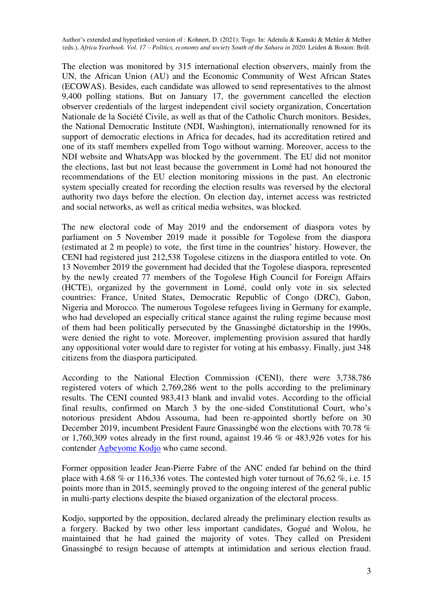The election was monitored by 315 international election observers, mainly from the UN, the African Union (AU) and the Economic Community of West African States (ECOWAS). Besides, each candidate was allowed to send representatives to the almost 9,400 polling stations. But on January 17, the government cancelled the election observer credentials of the largest independent civil society organization, Concertation Nationale de la Société Civile, as well as that of the Catholic Church monitors. Besides, the National Democratic Institute (NDI, Washington), internationally renowned for its support of democratic elections in Africa for decades, had its accreditation retired and one of its staff members expelled from Togo without warning. Moreover, access to the NDI website and WhatsApp was blocked by the government. The EU did not monitor the elections, last but not least because the government in Lomé had not honoured the recommendations of the EU election monitoring missions in the past. An electronic system specially created for recording the election results was reversed by the electoral authority two days before the election. On election day, internet access was restricted and social networks, as well as critical media websites, was blocked.

The new electoral code of May 2019 and the endorsement of diaspora votes by parliament on 5 November 2019 made it possible for Togolese from the diaspora (estimated at 2 m people) to vote, the first time in the countries' history. However, the CENI had registered just 212,538 Togolese citizens in the diaspora entitled to vote. On 13 November 2019 the government had decided that the Togolese diaspora, represented by the newly created 77 members of the Togolese High Council for Foreign Affairs (HCTE), organized by the government in Lomé, could only vote in six selected countries: France, United States, Democratic Republic of Congo (DRC), Gabon, Nigeria and Morocco. The numerous Togolese refugees living in Germany for example, who had developed an especially critical stance against the ruling regime because most of them had been politically persecuted by the Gnassingbé dictatorship in the 1990s, were denied the right to vote. Moreover, implementing provision assured that hardly any oppositional voter would dare to register for voting at his embassy. Finally, just 348 citizens from the diaspora participated.

According to the National Election Commission (CENI), there were 3,738,786 registered voters of which 2,769,286 went to the polls according to the preliminary results. The CENI counted 983,413 blank and invalid votes. According to the official final results, confirmed on March 3 by the one-sided Constitutional Court, who's notorious president Abdou Assouma, had been re-appointed shortly before on 30 December 2019, incumbent President Faure Gnassingbé won the elections with 70.78 % or 1,760,309 votes already in the first round, against 19.46 % or 483,926 votes for his contender [Agbeyome Kodjo](https://en.wikipedia.org/wiki/Agb%C3%A9yom%C3%A9_Kodjo) who came second.

Former opposition leader Jean-Pierre Fabre of the ANC ended far behind on the third place with 4.68 % or 116,336 votes. The contested high voter turnout of 76,62 %, i.e. 15 points more than in 2015, seemingly proved to the ongoing interest of the general public in multi-party elections despite the biased organization of the electoral process.

Kodjo, supported by the opposition, declared already the preliminary election results as a forgery. Backed by two other less important candidates, Gogué and Wolou, he maintained that he had gained the majority of votes. They called on President Gnassingbé to resign because of attempts at intimidation and serious election fraud.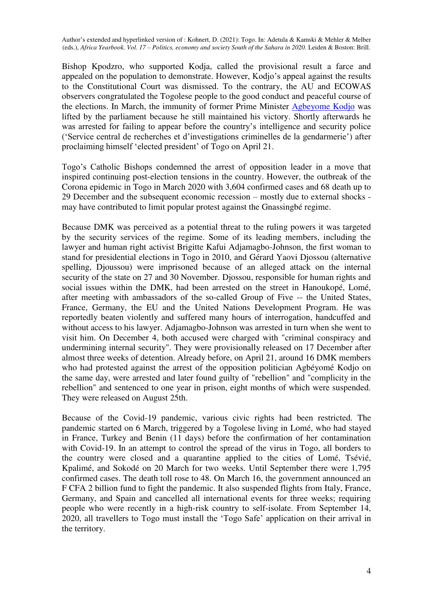Bishop Kpodzro, who supported Kodja, called the provisional result a farce and appealed on the population to demonstrate. However, Kodjo's appeal against the results to the Constitutional Court was dismissed. To the contrary, the AU and ECOWAS observers congratulated the Togolese people to the good conduct and peaceful course of the elections. In March, the immunity of former Prime Minister [Agbeyome Kodjo](https://en.wikipedia.org/wiki/Agb%C3%A9yom%C3%A9_Kodjo) was lifted by the parliament because he still maintained his victory. Shortly afterwards he was arrested for failing to appear before the country's intelligence and security police ('Service central de recherches et d'investigations criminelles de la gendarmerie') after proclaiming himself 'elected president' of Togo on April 21.

Togo's Catholic Bishops condemned the arrest of opposition leader in a move that inspired continuing post-election tensions in the country. However, the outbreak of the Corona epidemic in Togo in March 2020 with 3,604 confirmed cases and 68 death up to 29 December and the subsequent economic recession – mostly due to external shocks may have contributed to limit popular protest against the Gnassingbé regime.

Because DMK was perceived as a potential threat to the ruling powers it was targeted by the security services of the regime. Some of its leading members, including the lawyer and human right activist Brigitte Kafui Adjamagbo-Johnson, the first woman to stand for presidential elections in Togo in 2010, and Gérard Yaovi Djossou (alternative spelling, Djoussou) were imprisoned because of an alleged attack on the internal security of the state on 27 and 30 November. Djossou, responsible for human rights and social issues within the DMK, had been arrested on the street in Hanoukopé, Lomé, after meeting with ambassadors of the so-called Group of Five -- the United States, France, Germany, the EU and the United Nations Development Program. He was reportedly beaten violently and suffered many hours of interrogation, handcuffed and without access to his lawyer. Adjamagbo-Johnson was arrested in turn when she went to visit him. On December 4, both accused were charged with "criminal conspiracy and undermining internal security". They were provisionally released on 17 December after almost three weeks of detention. Already before, on April 21, around 16 DMK members who had protested against the arrest of the opposition politician Agbéyomé Kodjo on the same day, were arrested and later found guilty of "rebellion" and "complicity in the rebellion" and sentenced to one year in prison, eight months of which were suspended. They were released on August 25th.

Because of the Covid-19 pandemic, various civic rights had been restricted. The pandemic started on 6 March, triggered by a Togolese living in Lomé, who had stayed in France, Turkey and Benin (11 days) before the confirmation of her contamination with Covid-19. In an attempt to control the spread of the virus in Togo, all borders to the country were closed and a quarantine applied to the cities of Lomé, Tsévié, Kpalimé, and Sokodé on 20 March for two weeks. Until September there were 1,795 confirmed cases. The death toll rose to 48. On March 16, the government announced an F CFA 2 billion fund to fight the pandemic. It also suspended flights from Italy, France, Germany, and Spain and cancelled all international events for three weeks; requiring people who were recently in a high-risk country to self-isolate. From September 14, 2020, all travellers to Togo must install the 'Togo Safe' application on their arrival in the territory.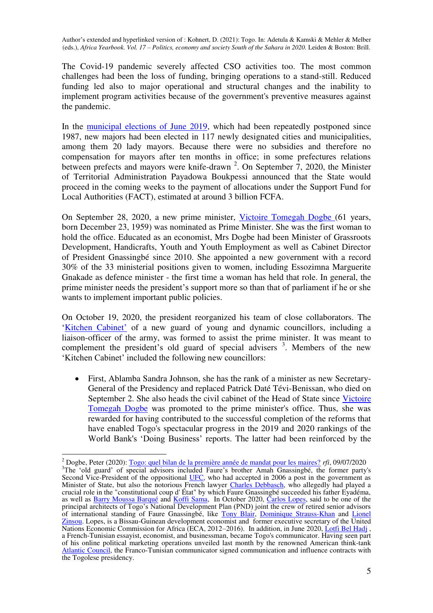The Covid-19 pandemic severely affected CSO activities too. The most common challenges had been the loss of funding, bringing operations to a stand-still. Reduced funding led also to major operational and structural changes and the inability to implement program activities because of the government's preventive measures against the pandemic.

In the [municipal elections of June 2019,](https://fr.wikipedia.org/wiki/%C3%89lections_municipales_togolaises_de_2019) which had been repeatedly postponed since 1987, new majors had been elected in 117 newly designated cities and municipalities, among them 20 lady mayors. Because there were no subsidies and therefore no compensation for mayors after ten months in office; in some prefectures relations between prefects and mayors were knife-drawn<sup>2</sup>. On September 7, 2020, the Minister of Territorial Administration Payadowa Boukpessi announced that the State would proceed in the coming weeks to the payment of allocations under the Support Fund for Local Authorities (FACT), estimated at around 3 billion FCFA.

On September 28, 2020, a new prime minister, [Victoire Tomegah Dogbe \(](https://en.wikipedia.org/wiki/Victoire_Tomegah_Dogb%C3%A9)61 years, born December 23, 1959) was nominated as Prime Minister. She was the first woman to hold the office. Educated as an economist, Mrs Dogbe had been Minister of Grassroots Development, Handicrafts, Youth and Youth Employment as well as Cabinet Director of President Gnassingbé since 2010. She appointed a new government with a record 30% of the 33 ministerial positions given to women, including Essozimna Marguerite Gnakade as defence minister - the first time a woman has held that role. In general, the prime minister needs the president's support more so than that of parliament if he or she wants to implement important public policies.

On October 19, 2020, the president reorganized his team of close collaborators. The '[Kitchen Cabinet](https://en.wikipedia.org/wiki/Kitchen_Cabinet)' of a new guard of young and dynamic councillors, including a liaison-officer of the army, was formed to assist the prime minister. It was meant to complement the president's old guard of special advisers  $3$ . Members of the new 'Kitchen Cabinet' included the following new councillors:

 First, Ablamba Sandra Johnson, she has the rank of a minister as new Secretary-General of the Presidency and replaced Patrick Daté Tévi-Benissan, who died on September 2. She also heads the civil cabinet of the Head of State since Victoire [Tomegah Dogbe](https://en.wikipedia.org/wiki/Victoire_Tomegah_Dogb%C3%A9) was promoted to the prime minister's office. Thus, she was rewarded for having contributed to the successful completion of the reforms that have enabled Togo's spectacular progress in the 2019 and 2020 rankings of the World Bank's 'Doing Business' reports. The latter had been reinforced by the

1

<sup>2</sup> Dogbe, Peter (2020): [Togo: quel bilan de la première année de mandat pour les maires?](https://www.rfi.fr/fr/podcasts/20200709-togo-bilan-la-premi%C3%A8re-ann%C3%A9e-mandat-les-maires) *rfi*, 09/07/2020 <sup>3</sup>The 'old guard' of special advisors included Faure's brother Amah Gnassingbé, the former party's Second Vice-President of the oppositional [UFC,](https://en.wikipedia.org/wiki/Union_of_Forces_for_Change) who had accepted in 2006 a post in the government as Minister of State, but also the notorious French lawyer [Charles Debbasch,](https://en.wikipedia.org/wiki/Charles_Debbasch) who allegedly had played a crucial role in the "constitutional coup d' État" by which Faure Gnassingbé succeeded his father Eyadéma, as well as **Barry Moussa Barqué and Koffi Sama**, In October 2020, [Carlos Lopes,](https://en.wikipedia.org/wiki/Carlos_Lopes_(Guinea_Bissau)) said to be one of the principal architects of Togo's National Development Plan (PND) joint the crew of retired senior advisors of international standing of Faure Gnassingbé, like [Tony Blair,](https://en.wikipedia.org/wiki/Tony_Blair) [Dominique Strauss-Khan](https://en.wikipedia.org/wiki/Dominique_Strauss-Kahn) and Lionel [Zinsou.](https://en.wikipedia.org/wiki/Lionel_Zinsou) Lopes, is a Bissau-Guinean development economist and former executive secretary of the United Nations Economic Commission for Africa (ECA, 2012–2016). In addition, in June 2020[, Lotfi Bel Hadj](https://en.wikipedia.org/wiki/Lotfi_Bel_Hadj) , a French-Tunisian essayist, economist, and businessman, became Togo's communicator. Having seen part of his online political marketing operations unveiled last month by the renowned American think-tank [Atlantic Council,](https://en.wikipedia.org/wiki/Atlantic_Council) the Franco-Tunisian communicator signed communication and influence contracts with the Togolese presidency.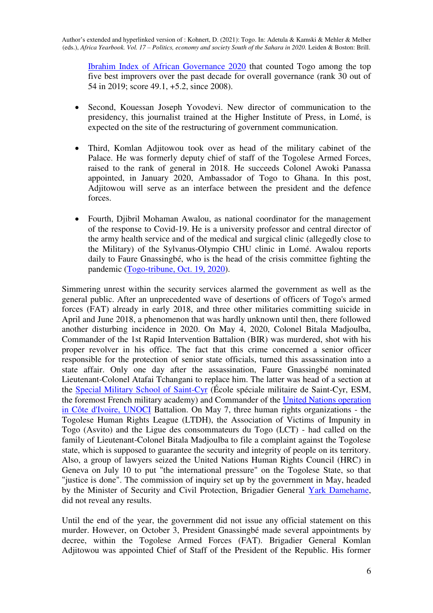[Ibrahim Index of African Governance 2020](https://mo.ibrahim.foundation/iiag) that counted Togo among the top five best improvers over the past decade for overall governance (rank 30 out of 54 in 2019; score 49.1, +5.2, since 2008).

- Second, Kouessan Joseph Yovodevi. New director of communication to the presidency, this journalist trained at the Higher Institute of Press, in Lomé, is expected on the site of the restructuring of government communication.
- Third, Komlan Adjitowou took over as head of the military cabinet of the Palace. He was formerly deputy chief of staff of the Togolese Armed Forces, raised to the rank of general in 2018. He succeeds Colonel Awoki Panassa appointed, in January 2020, Ambassador of Togo to Ghana. In this post, Adjitowou will serve as an interface between the president and the defence forces.
- Fourth, Djibril Mohaman Awalou, as national coordinator for the management of the response to Covid-19. He is a university professor and central director of the army health service and of the medical and surgical clinic (allegedly close to the Military) of the Sylvanus-Olympio CHU clinic in Lomé. Awalou reports daily to Faure Gnassingbé, who is the head of the crisis committee fighting the pandemic [\(Togo-tribune, Oct. 19, 2020\)](https://togotribune.com/news/secret-de-palais-la-nouvelle-jeune-garde-de-faure-gnassingbe/).

Simmering unrest within the security services alarmed the government as well as the general public. After an unprecedented wave of desertions of officers of Togo's armed forces (FAT) already in early 2018, and three other militaries committing suicide in April and June 2018, a phenomenon that was hardly unknown until then, there followed another disturbing incidence in 2020. On May 4, 2020, Colonel Bitala Madjoulba, Commander of the 1st Rapid Intervention Battalion (BIR) was murdered, shot with his proper revolver in his office. The fact that this crime concerned a senior officer responsible for the protection of senior state officials, turned this assassination into a state affair. Only one day after the assassination, Faure Gnassingbé nominated Lieutenant-Colonel Atafai Tchangani to replace him. The latter was head of a section at the [Special Military School of Saint-Cyr](https://en.wikipedia.org/wiki/%C3%89cole_sp%C3%A9ciale_militaire_de_Saint-Cyr) (École spéciale militaire de Saint-Cyr, ESM, the foremost French military academy) and Commander of the [United Nations operation](https://en.wikipedia.org/wiki/United_Nations_Operation_in_C%C3%B4te_d%27Ivoire)  [in Côte d'Ivoire, UNOCI](https://en.wikipedia.org/wiki/United_Nations_Operation_in_C%C3%B4te_d%27Ivoire) Battalion. On May 7, three human rights organizations - the Togolese Human Rights League (LTDH), the Association of Victims of Impunity in Togo (Asvito) and the Ligue des consommateurs du Togo (LCT) - had called on the family of Lieutenant-Colonel Bitala Madjoulba to file a complaint against the Togolese state, which is supposed to guarantee the security and integrity of people on its territory. Also, a group of lawyers seized the United Nations Human Rights Council (HRC) in Geneva on July 10 to put "the international pressure" on the Togolese State, so that "justice is done". The commission of inquiry set up by the government in May, headed by the Minister of Security and Civil Protection, Brigadier General [Yark Damehame,](https://fr.wikipedia.org/wiki/Damehane_Yark) did not reveal any results.

Until the end of the year, the government did not issue any official statement on this murder. However, on October 3, President Gnassingbé made several appointments by decree, within the Togolese Armed Forces (FAT). Brigadier General Komlan Adjitowou was appointed Chief of Staff of the President of the Republic. His former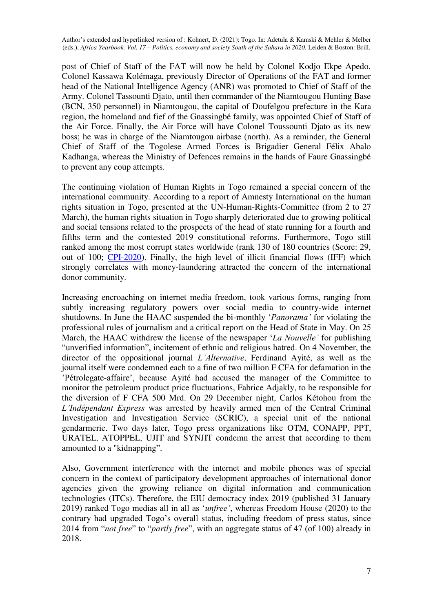post of Chief of Staff of the FAT will now be held by Colonel Kodjo Ekpe Apedo. Colonel Kassawa Kolémaga, previously Director of Operations of the FAT and former head of the National Intelligence Agency (ANR) was promoted to Chief of Staff of the Army. Colonel Tassounti Djato, until then commander of the Niamtougou Hunting Base (BCN, 350 personnel) in Niamtougou, the capital of Doufelgou prefecture in the Kara region, the homeland and fief of the Gnassingbé family, was appointed Chief of Staff of the Air Force. Finally, the Air Force will have Colonel Toussounti Djato as its new boss; he was in charge of the Niamtougou airbase (north). As a reminder, the General Chief of Staff of the Togolese Armed Forces is Brigadier General Félix Abalo Kadhanga, whereas the Ministry of Defences remains in the hands of Faure Gnassingbé to prevent any coup attempts.

The continuing violation of Human Rights in Togo remained a special concern of the international community. According to a report of Amnesty International on the human rights situation in Togo, presented at the UN-Human-Rights-Committee (from 2 to 27 March), the human rights situation in Togo sharply deteriorated due to growing political and social tensions related to the prospects of the head of state running for a fourth and fifths term and the contested 2019 constitutional reforms. Furthermore, Togo still ranked among the most corrupt states worldwide (rank 130 of 180 countries (Score: 29, out of 100; [CPI-2020\)](https://www.transparency.org/files/content/pages/2019_CPI_Report_EN.pdf). Finally, the high level of illicit financial flows (IFF) which strongly correlates with money-laundering attracted the concern of the international donor community.

Increasing encroaching on internet media freedom, took various forms, ranging from subtly increasing regulatory powers over social media to country-wide internet shutdowns. In June the HAAC suspended the bi-monthly '*Panorama'* for violating the professional rules of journalism and a critical report on the Head of State in May. On 25 March, the HAAC withdrew the license of the newspaper '*La Nouvelle'* for publishing "unverified information", incitement of ethnic and religious hatred. On 4 November, the director of the oppositional journal *L'Alternative*, Ferdinand Ayité, as well as the journal itself were condemned each to a fine of two million F CFA for defamation in the 'Pétrolegate-affaire', because Ayité had accused the manager of the Committee to monitor the petroleum product price fluctuations, Fabrice Adjakly, to be responsible for the diversion of F CFA 500 Mrd. On 29 December night, Carlos Kétohou from the *L'Indépendant Express* was arrested by heavily armed men of the Central Criminal Investigation and Investigation Service (SCRIC), a special unit of the national gendarmerie. Two days later, Togo press organizations like OTM, CONAPP, PPT, URATEL, ATOPPEL, UJIT and SYNJIT condemn the arrest that according to them amounted to a "kidnapping".

Also, Government interference with the internet and mobile phones was of special concern in the context of participatory development approaches of international donor agencies given the growing reliance on digital information and communication technologies (ITCs). Therefore, the EIU democracy index 2019 (published 31 January 2019) ranked Togo medias all in all as '*unfree'*, whereas Freedom House (2020) to the contrary had upgraded Togo's overall status, including freedom of press status, since 2014 from "*not free*" to "*partly free*", with an aggregate status of 47 (of 100) already in 2018.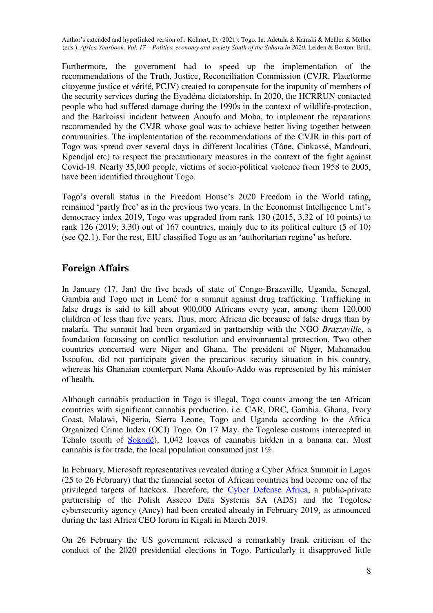Furthermore, the government had to speed up the implementation of the recommendations of the Truth, Justice, Reconciliation Commission (CVJR, Plateforme citoyenne justice et vérité, PCJV) created to compensate for the impunity of members of the security services during the Eyadéma dictatorship**.** In 2020, the HCRRUN contacted people who had suffered damage during the 1990s in the context of wildlife-protection, and the Barkoissi incident between Anoufo and Moba, to implement the reparations recommended by the CVJR whose goal was to achieve better living together between communities. The implementation of the recommendations of the CVJR in this part of Togo was spread over several days in different localities (Tône, Cinkassé, Mandouri, Kpendial etc) to respect the precautionary measures in the context of the fight against Covid-19. Nearly 35,000 people, victims of socio-political violence from 1958 to 2005, have been identified throughout Togo.

Togo's overall status in the Freedom House's 2020 Freedom in the World rating, remained 'partly free' as in the previous two years. In the Economist Intelligence Unit's democracy index 2019, Togo was upgraded from rank 130 (2015, 3.32 of 10 points) to rank 126 (2019; 3.30) out of 167 countries, mainly due to its political culture (5 of 10) (see Q2.1). For the rest, EIU classified Togo as an 'authoritarian regime' as before.

#### **Foreign Affairs**

In January (17. Jan) the five heads of state of Congo-Brazaville, Uganda, Senegal, Gambia and Togo met in Lomé for a summit against drug trafficking. Trafficking in false drugs is said to kill about 900,000 Africans every year, among them 120,000 children of less than five years. Thus, more African die because of false drugs than by malaria. The summit had been organized in partnership with the NGO *Brazzaville*, a foundation focussing on conflict resolution and environmental protection. Two other countries concerned were Niger and Ghana. The president of Niger, Mahamadou Issoufou, did not participate given the precarious security situation in his country, whereas his Ghanaian counterpart Nana Akoufo-Addo was represented by his minister of health.

Although cannabis production in Togo is illegal, Togo counts among the ten African countries with significant cannabis production, i.e. CAR, DRC, Gambia, Ghana, Ivory Coast, Malawi, Nigeria, Sierra Leone, Togo and Uganda according to the Africa Organized Crime Index (OCI) Togo. On 17 May, the Togolese customs intercepted in Tchalo (south of [Sokodé\)](https://en.wikipedia.org/wiki/Sokod%C3%A9), 1,042 loaves of cannabis hidden in a banana car. Most cannabis is for trade, the local population consumed just 1%.

In February, Microsoft representatives revealed during a Cyber Africa Summit in Lagos (25 to 26 February) that the financial sector of African countries had become one of the privileged targets of hackers. Therefore, the [Cyber Defense Africa,](https://www.cda.tg/en/) a public-private partnership of the Polish Asseco Data Systems SA (ADS) and the Togolese cybersecurity agency (Ancy) had been created already in February 2019, as announced during the last Africa CEO forum in Kigali in March 2019.

On 26 February the US government released a remarkably frank criticism of the conduct of the 2020 presidential elections in Togo. Particularly it disapproved little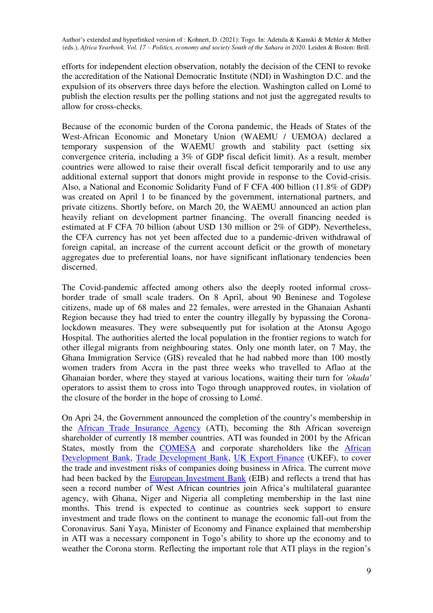efforts for independent election observation, notably the decision of the CENI to revoke the accreditation of the National Democratic Institute (NDI) in Washington D.C. and the expulsion of its observers three days before the election. Washington called on Lomé to publish the election results per the polling stations and not just the aggregated results to allow for cross-checks.

Because of the economic burden of the Corona pandemic, the Heads of States of the West-African Economic and Monetary Union (WAEMU / UEMOA) declared a temporary suspension of the WAEMU growth and stability pact (setting six convergence criteria, including a 3% of GDP fiscal deficit limit). As a result, member countries were allowed to raise their overall fiscal deficit temporarily and to use any additional external support that donors might provide in response to the Covid-crisis. Also, a National and Economic Solidarity Fund of F CFA 400 billion (11.8% of GDP) was created on April 1 to be financed by the government, international partners, and private citizens. Shortly before, on March 20, the WAEMU announced an action plan heavily reliant on development partner financing. The overall financing needed is estimated at F CFA 70 billion (about USD 130 million or 2% of GDP). Nevertheless, the CFA currency has not yet been affected due to a pandemic-driven withdrawal of foreign capital, an increase of the current account deficit or the growth of monetary aggregates due to preferential loans, nor have significant inflationary tendencies been discerned.

The Covid-pandemic affected among others also the deeply rooted informal crossborder trade of small scale traders. On 8 April, about 90 Beninese and Togolese citizens, made up of 68 males and 22 females, were arrested in the Ghanaian Ashanti Region because they had tried to enter the country illegally by bypassing the Coronalockdown measures. They were subsequently put for isolation at the Atonsu Agogo Hospital. The authorities alerted the local population in the frontier regions to watch for other illegal migrants from neighbouring states. Only one month later, on 7 May, the Ghana Immigration Service (GIS) revealed that he had nabbed more than 100 mostly women traders from Accra in the past three weeks who travelled to Aflao at the Ghanaian border, where they stayed at various locations, waiting their turn for *'okada'* operators to assist them to cross into Togo through unapproved routes, in violation of the closure of the border in the hope of crossing to Lomé.

On Apri 24, the Government announced the completion of the country's membership in the [African Trade Insurance Agency](https://en.wikipedia.org/wiki/African_Trade_Insurance_Agency) (ATI), becoming the 8th African sovereign shareholder of currently 18 member countries. ATI was founded in 2001 by the African States, mostly from the [COMESA](https://en.wikipedia.org/wiki/Common_Market_for_Eastern_and_Southern_Africa) and corporate shareholders like the [African](https://en.wikipedia.org/wiki/African_Development_Bank)  [Development Bank,](https://en.wikipedia.org/wiki/African_Development_Bank) [Trade Development Bank,](https://en.wikipedia.org/wiki/Trade_Development_Bank) [UK Export Finance](https://en.wikipedia.org/wiki/UK_Export_Finance) (UKEF), to cover the trade and investment risks of companies doing business in Africa. The current move had been backed by the [European Investment Bank](https://en.wikipedia.org/wiki/European_Investment_Bank) (EIB) and reflects a trend that has seen a record number of West African countries join Africa's multilateral guarantee agency, with Ghana, Niger and Nigeria all completing membership in the last nine months. This trend is expected to continue as countries seek support to ensure investment and trade flows on the continent to manage the economic fall-out from the Coronavirus. Sani Yaya, Minister of Economy and Finance explained that membership in ATI was a necessary component in Togo's ability to shore up the economy and to weather the Corona storm. Reflecting the important role that ATI plays in the region's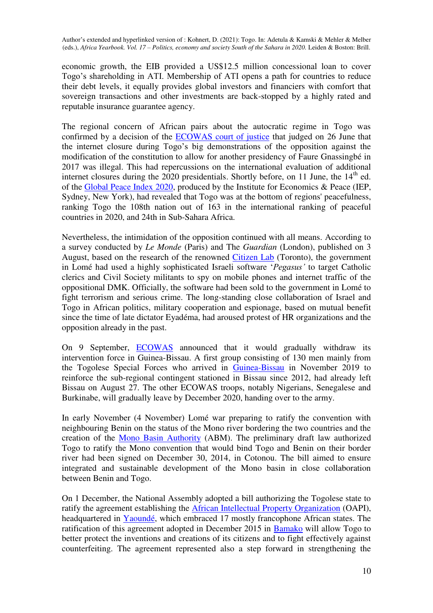economic growth, the EIB provided a US\$12.5 million concessional loan to cover Togo's shareholding in ATI. Membership of ATI opens a path for countries to reduce their debt levels, it equally provides global investors and financiers with comfort that sovereign transactions and other investments are back-stopped by a highly rated and reputable insurance guarantee agency.

The regional concern of African pairs about the autocratic regime in Togo was confirmed by a decision of the [ECOWAS court of justice](https://en.wikipedia.org/wiki/ECOWAS_Court) that judged on 26 June that the internet closure during Togo's big demonstrations of the opposition against the modification of the constitution to allow for another presidency of Faure Gnassingbé in 2017 was illegal. This had repercussions on the international evaluation of additional internet closures during the 2020 presidentials. Shortly before, on 11 June, the  $14<sup>th</sup>$  ed. of the [Global Peace Index 2020,](https://en.wikipedia.org/wiki/Global_Peace_Index) produced by the Institute for Economics & Peace (IEP, Sydney, New York), had revealed that Togo was at the bottom of regions' peacefulness, ranking Togo the 108th nation out of 163 in the international ranking of peaceful countries in 2020, and 24th in Sub-Sahara Africa.

Nevertheless, the intimidation of the opposition continued with all means. According to a survey conducted by *Le Monde* (Paris) and The *Guardian* (London), published on 3 August, based on the research of the renowned [Citizen Lab](https://en.wikipedia.org/wiki/Citizen_Lab) (Toronto), the government in Lomé had used a highly sophisticated Israeli software '*Pegasus'* to target Catholic clerics and Civil Society militants to spy on mobile phones and internet traffic of the oppositional DMK. Officially, the software had been sold to the government in Lomé to fight terrorism and serious crime. The long-standing close collaboration of Israel and Togo in African politics, military cooperation and espionage, based on mutual benefit since the time of late dictator Eyadéma, had aroused protest of HR organizations and the opposition already in the past.

On 9 September, [ECOWAS](https://en.wikipedia.org/wiki/Economic_Community_of_West_African_States) announced that it would gradually withdraw its intervention force in Guinea-Bissau. A first group consisting of 130 men mainly from the Togolese Special Forces who arrived in [Guinea-Bissau](https://en.wikipedia.org/wiki/Guinea-Bissau) in November 2019 to reinforce the sub-regional contingent stationed in Bissau since 2012, had already left Bissau on August 27. The other ECOWAS troops, notably Nigerians, Senegalese and Burkinabe, will gradually leave by December 2020, handing over to the army.

In early November (4 November) Lomé war preparing to ratify the convention with neighbouring Benin on the status of the Mono river bordering the two countries and the creation of the [Mono Basin Authority](https://en.wikipedia.org/wiki/Mono_River) (ABM). The preliminary draft law authorized Togo to ratify the Mono convention that would bind Togo and Benin on their border river had been signed on December 30, 2014, in Cotonou. The bill aimed to ensure integrated and sustainable development of the Mono basin in close collaboration between Benin and Togo.

On 1 December, the National Assembly adopted a bill authorizing the Togolese state to ratify the agreement establishing the [African Intellectual Property Organization](https://en.wikipedia.org/wiki/Organisation_Africaine_de_la_Propri%C3%A9t%C3%A9_Intellectuelle) (OAPI), headquartered in [Yaoundé,](https://en.wikipedia.org/wiki/Yaound%C3%A9) which embraced 17 mostly francophone African states. The ratification of this agreement adopted in December 2015 in [Bamako](https://en.wikipedia.org/wiki/Bamako) will allow Togo to better protect the inventions and creations of its citizens and to fight effectively against counterfeiting. The agreement represented also a step forward in strengthening the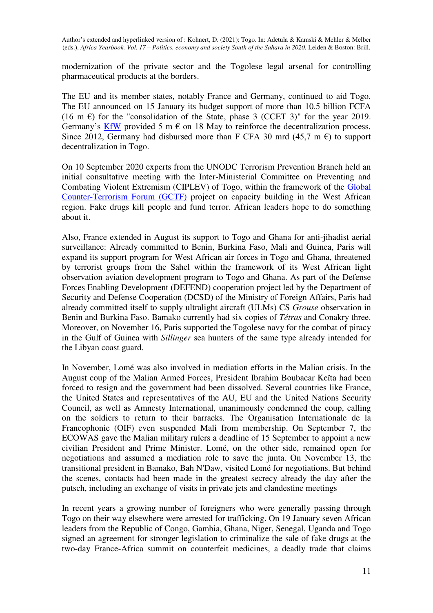modernization of the private sector and the Togolese legal arsenal for controlling pharmaceutical products at the borders.

The EU and its member states, notably France and Germany, continued to aid Togo. The EU announced on 15 January its budget support of more than 10.5 billion FCFA (16 m  $\epsilon$ ) for the "consolidation of the State, phase 3 (CCET 3)" for the year 2019. Germany's [KfW](https://en.wikipedia.org/wiki/KfW) provided 5 m  $\epsilon$  on 18 May to reinforce the decentralization process. Since 2012, Germany had disbursed more than F CFA 30 mrd (45,7 m  $\epsilon$ ) to support decentralization in Togo.

On 10 September 2020 experts from the UNODC Terrorism Prevention Branch held an initial consultative meeting with the Inter-Ministerial Committee on Preventing and Combating Violent Extremism (CIPLEV) of Togo, within the framework of the [Global](https://en.wikipedia.org/wiki/Global_Counterterrorism_Forum)  [Counter-Terrorism Forum \(GCTF\)](https://en.wikipedia.org/wiki/Global_Counterterrorism_Forum) project on capacity building in the West African region. Fake drugs kill people and fund terror. African leaders hope to do something about it.

Also, France extended in August its support to Togo and Ghana for anti-jihadist aerial surveillance: Already committed to Benin, Burkina Faso, Mali and Guinea, Paris will expand its support program for West African air forces in Togo and Ghana, threatened by terrorist groups from the Sahel within the framework of its West African light observation aviation development program to Togo and Ghana. As part of the Defense Forces Enabling Development (DEFEND) cooperation project led by the Department of Security and Defense Cooperation (DCSD) of the Ministry of Foreign Affairs, Paris had already committed itself to supply ultralight aircraft (ULMs) CS *Grouse* observation in Benin and Burkina Faso. Bamako currently had six copies of *Tétras* and Conakry three. Moreover, on November 16, Paris supported the Togolese navy for the combat of piracy in the Gulf of Guinea with *Sillinger* sea hunters of the same type already intended for the Libyan coast guard.

In November, Lomé was also involved in mediation efforts in the Malian crisis. In the August coup of the Malian Armed Forces, President Ibrahim Boubacar Keïta had been forced to resign and the government had been dissolved. Several countries like France, the United States and representatives of the AU, EU and the United Nations Security Council, as well as Amnesty International, unanimously condemned the coup, calling on the soldiers to return to their barracks. The Organisation Internationale de la Francophonie (OIF) even suspended Mali from membership. On September 7, the ECOWAS gave the Malian military rulers a deadline of 15 September to appoint a new civilian President and Prime Minister. Lomé, on the other side, remained open for negotiations and assumed a mediation role to save the junta. On November 13, the transitional president in Bamako, Bah N'Daw, visited Lomé for negotiations. But behind the scenes, contacts had been made in the greatest secrecy already the day after the putsch, including an exchange of visits in private jets and clandestine meetings

In recent years a growing number of foreigners who were generally passing through Togo on their way elsewhere were arrested for trafficking. On 19 January seven African leaders from the Republic of Congo, Gambia, Ghana, Niger, Senegal, Uganda and Togo signed an agreement for stronger legislation to criminalize the sale of fake drugs at the two-day France-Africa summit on counterfeit medicines, a deadly trade that claims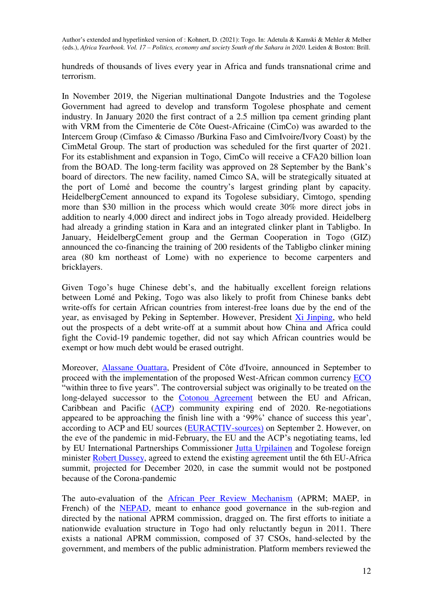hundreds of thousands of lives every year in Africa and funds transnational crime and terrorism.

In November 2019, the Nigerian multinational Dangote Industries and the Togolese Government had agreed to develop and transform Togolese phosphate and cement industry. In January 2020 the first contract of a 2.5 million tpa cement grinding plant with VRM from the Cimenterie de Côte Ouest-Africaine (CimCo) was awarded to the Intercem Group (Cimfaso & Cimasso /Burkina Faso and CimIvoire/Ivory Coast) by the CimMetal Group. The start of production was scheduled for the first quarter of 2021. For its establishment and expansion in Togo, CimCo will receive a CFA20 billion loan from the BOAD. The long-term facility was approved on 28 September by the Bank's board of directors. The new facility, named Cimco SA, will be strategically situated at the port of Lomé and become the country's largest grinding plant by capacity. HeidelbergCement announced to expand its Togolese subsidiary, Cimtogo, spending more than \$30 million in the process which would create 30% more direct jobs in addition to nearly 4,000 direct and indirect jobs in Togo already provided. Heidelberg had already a grinding station in Kara and an integrated clinker plant in Tabligbo. In January, HeidelbergCement group and the German Cooperation in Togo (GIZ) announced the co-financing the training of 200 residents of the Tabligbo clinker mining area (80 km northeast of Lome) with no experience to become carpenters and bricklayers.

Given Togo's huge Chinese debt's, and the habitually excellent foreign relations between Lomé and Peking, Togo was also likely to profit from Chinese banks debt write-offs for certain African countries from interest-free loans due by the end of the year, as envisaged by Peking in September. However, President [Xi Jinping,](https://en.wikipedia.org/wiki/Xi_Jinping) who held out the prospects of a debt write-off at a summit about how China and Africa could fight the Covid-19 pandemic together, did not say which African countries would be exempt or how much debt would be erased outright.

Moreover, [Alassane Ouattara,](https://en.wikipedia.org/wiki/Alassane_Ouattara) President of Côte d'Ivoire, announced in September to proceed with the implementation of the proposed West-African common currency **ECO** "within three to five years". The controversial subject was originally to be treated on the long-delayed successor to the [Cotonou Agreement](https://en.wikipedia.org/wiki/Cotonou_Agreement) between the EU and African, Caribbean and Pacific [\(ACP\)](https://en.wikipedia.org/wiki/Organisation_of_African,_Caribbean_and_Pacific_States) community expiring end of 2020. Re-negotiations appeared to be approaching the finish line with a '99%' chance of success this year', according to ACP and EU sources [\(EURACTIV-sources\)](https://www.euractiv.com/section/botswana/news/post-cotonou-deal-edges-closer-to-the-finish-line/) on September 2. However, on the eve of the pandemic in mid-February, the EU and the ACP's negotiating teams, led by EU International Partnerships Commissioner [Jutta Urpilainen](https://en.wikipedia.org/wiki/Jutta_Urpilainen) and Togolese foreign minister [Robert Dussey,](https://en.wikipedia.org/wiki/Robert_Dussey) agreed to extend the existing agreement until the 6th EU-Africa summit, projected for December 2020, in case the summit would not be postponed because of the Corona-pandemic

The auto-evaluation of the [African Peer Review Mechanism](https://en.wikipedia.org/wiki/African_Peer_Review_Mechanism) (APRM; MAEP, in French) of the [NEPAD,](https://en.wikipedia.org/wiki/New_Partnership_for_Africa%27s_Development) meant to enhance good governance in the sub-region and directed by the national APRM commission, dragged on. The first efforts to initiate a nationwide evaluation structure in Togo had only reluctantly begun in 2011. There exists a national APRM commission, composed of 37 CSOs, hand-selected by the government, and members of the public administration. Platform members reviewed the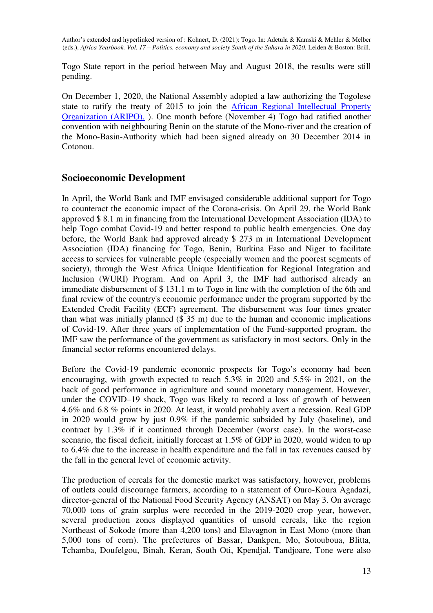Togo State report in the period between May and August 2018, the results were still pending.

On December 1, 2020, the National Assembly adopted a law authorizing the Togolese state to ratify the treaty of 2015 to join the [African Regional Intellectual Property](On%20December%201,%202020%20the%20National%20Assembly%20adopted%20a%20law%20authorizing%20the%20Togolese%20state%20to%20ratify%20the%20treaty%20of%202015%20to%20join%20the%20African%20Regional%20Intellectual%20Property%20Organization%20(ARIPO).)  [Organization \(ARIPO\).](On%20December%201,%202020%20the%20National%20Assembly%20adopted%20a%20law%20authorizing%20the%20Togolese%20state%20to%20ratify%20the%20treaty%20of%202015%20to%20join%20the%20African%20Regional%20Intellectual%20Property%20Organization%20(ARIPO).) ). One month before (November 4) Togo had ratified another convention with neighbouring Benin on the statute of the Mono-river and the creation of the Mono-Basin-Authority which had been signed already on 30 December 2014 in Cotonou.

#### **Socioeconomic Development**

In April, the World Bank and IMF envisaged considerable additional support for Togo to counteract the economic impact of the Corona-crisis. On April 29, the World Bank approved \$ 8.1 m in financing from the International Development Association (IDA) to help Togo combat Covid-19 and better respond to public health emergencies. One day before, the World Bank had approved already \$ 273 m in International Development Association (IDA) financing for Togo, Benin, Burkina Faso and Niger to facilitate access to services for vulnerable people (especially women and the poorest segments of society), through the West Africa Unique Identification for Regional Integration and Inclusion (WURI) Program. And on April 3, the IMF had authorised already an immediate disbursement of \$ 131.1 m to Togo in line with the completion of the 6th and final review of the country's economic performance under the program supported by the Extended Credit Facility (ECF) agreement. The disbursement was four times greater than what was initially planned (\$ 35 m) due to the human and economic implications of Covid-19. After three years of implementation of the Fund-supported program, the IMF saw the performance of the government as satisfactory in most sectors. Only in the financial sector reforms encountered delays.

Before the Covid-19 pandemic economic prospects for Togo's economy had been encouraging, with growth expected to reach 5.3% in 2020 and 5.5% in 2021, on the back of good performance in agriculture and sound monetary management. However, under the COVID–19 shock, Togo was likely to record a loss of growth of between 4.6% and 6.8 % points in 2020. At least, it would probably avert a recession. Real GDP in 2020 would grow by just 0.9% if the pandemic subsided by July (baseline), and contract by 1.3% if it continued through December (worst case). In the worst-case scenario, the fiscal deficit, initially forecast at 1.5% of GDP in 2020, would widen to up to 6.4% due to the increase in health expenditure and the fall in tax revenues caused by the fall in the general level of economic activity.

The production of cereals for the domestic market was satisfactory, however, problems of outlets could discourage farmers, according to a statement of Ouro-Koura Agadazi, director-general of the National Food Security Agency (ANSAT) on May 3. On average 70,000 tons of grain surplus were recorded in the 2019-2020 crop year, however, several production zones displayed quantities of unsold cereals, like the region Northeast of Sokode (more than 4,200 tons) and Elavagnon in East Mono (more than 5,000 tons of corn). The prefectures of Bassar, Dankpen, Mo, Sotouboua, Blitta, Tchamba, Doufelgou, Binah, Keran, South Oti, Kpendjal, Tandjoare, Tone were also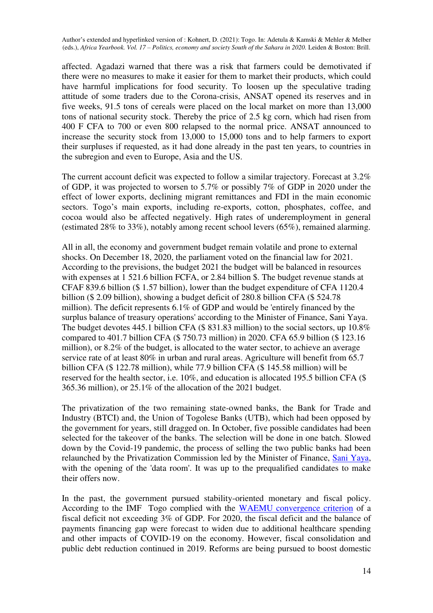affected. Agadazi warned that there was a risk that farmers could be demotivated if there were no measures to make it easier for them to market their products, which could have harmful implications for food security. To loosen up the speculative trading attitude of some traders due to the Corona-crisis, ANSAT opened its reserves and in five weeks, 91.5 tons of cereals were placed on the local market on more than 13,000 tons of national security stock. Thereby the price of 2.5 kg corn, which had risen from 400 F CFA to 700 or even 800 relapsed to the normal price. ANSAT announced to increase the security stock from 13,000 to 15,000 tons and to help farmers to export their surpluses if requested, as it had done already in the past ten years, to countries in the subregion and even to Europe, Asia and the US.

The current account deficit was expected to follow a similar trajectory. Forecast at 3.2% of GDP, it was projected to worsen to 5.7% or possibly 7% of GDP in 2020 under the effect of lower exports, declining migrant remittances and FDI in the main economic sectors. Togo's main exports, including re-exports, cotton, phosphates, coffee, and cocoa would also be affected negatively. High rates of underemployment in general (estimated 28% to 33%), notably among recent school levers (65%), remained alarming.

All in all, the economy and government budget remain volatile and prone to external shocks. On December 18, 2020, the parliament voted on the financial law for 2021. According to the previsions, the budget 2021 the budget will be balanced in resources with expenses at 1 521.6 billion FCFA, or 2.84 billion \$. The budget revenue stands at CFAF 839.6 billion (\$ 1.57 billion), lower than the budget expenditure of CFA 1120.4 billion (\$ 2.09 billion), showing a budget deficit of 280.8 billion CFA (\$ 524.78 million). The deficit represents 6.1% of GDP and would be 'entirely financed by the surplus balance of treasury operations' according to the Minister of Finance, Sani Yaya. The budget devotes 445.1 billion CFA (\$ 831.83 million) to the social sectors, up 10.8% compared to 401.7 billion CFA (\$ 750.73 million) in 2020. CFA 65.9 billion (\$ 123.16 million), or 8.2% of the budget, is allocated to the water sector, to achieve an average service rate of at least 80% in urban and rural areas. Agriculture will benefit from 65.7 billion CFA (\$ 122.78 million), while 77.9 billion CFA (\$ 145.58 million) will be reserved for the health sector, i.e. 10%, and education is allocated 195.5 billion CFA (\$ 365.36 million), or 25.1% of the allocation of the 2021 budget.

The privatization of the two remaining state-owned banks, the Bank for Trade and Industry (BTCI) and, the Union of Togolese Banks (UTB), which had been opposed by the government for years, still dragged on. In October, five possible candidates had been selected for the takeover of the banks. The selection will be done in one batch. Slowed down by the Covid-19 pandemic, the process of selling the two public banks had been relaunched by the Privatization Commission led by the Minister of Finance, [Sani Yaya,](https://en.wikipedia.org/wiki/Sani_Yaya) with the opening of the 'data room'. It was up to the prequalified candidates to make their offers now.

In the past, the government pursued stability-oriented monetary and fiscal policy. According to the IMF Togo complied with the [WAEMU convergence criterion](https://en.wikipedia.org/wiki/Economic_Community_of_West_African_States) of a fiscal deficit not exceeding 3% of GDP. For 2020, the fiscal deficit and the balance of payments financing gap were forecast to widen due to additional healthcare spending and other impacts of COVID-19 on the economy. However, fiscal consolidation and public debt reduction continued in 2019. Reforms are being pursued to boost domestic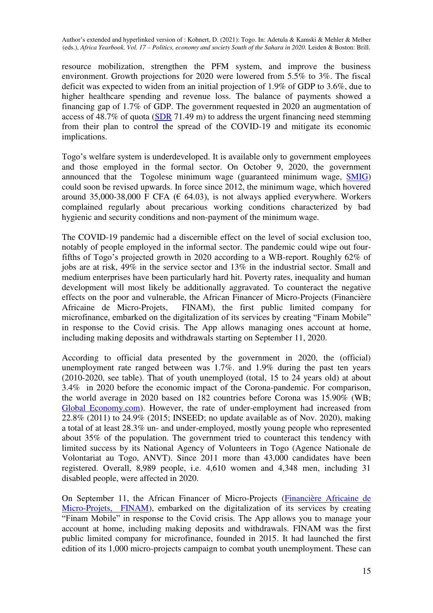resource mobilization, strengthen the PFM system, and improve the business environment. Growth projections for 2020 were lowered from 5.5% to 3%. The fiscal deficit was expected to widen from an initial projection of 1.9% of GDP to 3.6%, due to higher healthcare spending and revenue loss. The balance of payments showed a financing gap of 1.7% of GDP. The government requested in 2020 an augmentation of access of 48.7% of quota [\(SDR](https://en.wikipedia.org/wiki/Special_drawing_rights) 71.49 m) to address the urgent financing need stemming from their plan to control the spread of the COVID-19 and mitigate its economic implications.

Togo's welfare system is underdeveloped. It is available only to government employees and those employed in the formal sector. On October 9, 2020, the government announced that the Togolese minimum wage (guaranteed minimum wage, [SMIG\)](https://fr.wikipedia.org/wiki/Salaire_minimum_interprofessionnel_garanti) could soon be revised upwards. In force since 2012, the minimum wage, which hovered around 35,000-38,000 F CFA ( $\epsilon$  64.03), is not always applied everywhere. Workers complained regularly about precarious working conditions characterized by bad hygienic and security conditions and non-payment of the minimum wage.

The COVID-19 pandemic had a discernible effect on the level of social exclusion too, notably of people employed in the informal sector. The pandemic could wipe out fourfifths of Togo's projected growth in 2020 according to a WB-report. Roughly 62% of jobs are at risk,  $49\%$  in the service sector and  $13\%$  in the industrial sector. Small and medium enterprises have been particularly hard hit. Poverty rates, inequality and human development will most likely be additionally aggravated. To counteract the negative effects on the poor and vulnerable, the African Financer of Micro-Projects (Financière Africaine de Micro-Projets, FINAM), the first public limited company for microfinance, embarked on the digitalization of its services by creating "Finam Mobile" in response to the Covid crisis. The App allows managing ones account at home, including making deposits and withdrawals starting on September 11, 2020.

According to official data presented by the government in 2020, the (official) unemployment rate ranged between was 1.7%. and 1.9% during the past ten years (2010-2020, see table). That of youth unemployed (total, 15 to 24 years old) at about 3.4% in 2020 before the economic impact of the Corona-pandemic. For comparison, the world average in 2020 based on 182 countries before Corona was 15.90% (WB; [Global Economy.com\)](https://www.theglobaleconomy.com/Togo/youth_unemployment/). However, the rate of under-employment had increased from 22.8% (2011) to 24.9% (2015; INSEED; no update available as of Nov. 2020), making a total of at least 28.3% un- and under-employed, mostly young people who represented about 35% of the population. The government tried to counteract this tendency with limited success by its National Agency of Volunteers in Togo (Agence Nationale de Volontariat au Togo, ANVT). Since 2011 more than 43,000 candidates have been registered. Overall, 8,989 people, i.e. 4,610 women and 4,348 men, including 31 disabled people, were affected in 2020.

On September 11, the African Financer of Micro-Projects [\(Financière Africaine de](https://togoreveil.com/singlepost-pour-faciliter-le-quotidien-de-ses-clients-----la-finam-togo-lance-finam-mobile-31-2783-86304%22)  [Micro-Projets, FINAM\)](https://togoreveil.com/singlepost-pour-faciliter-le-quotidien-de-ses-clients-----la-finam-togo-lance-finam-mobile-31-2783-86304%22), embarked on the digitalization of its services by creating "Finam Mobile" in response to the Covid crisis. The App allows you to manage your account at home, including making deposits and withdrawals. FINAM was the first public limited company for microfinance, founded in 2015. It had launched the first edition of its 1,000 micro-projects campaign to combat youth unemployment. These can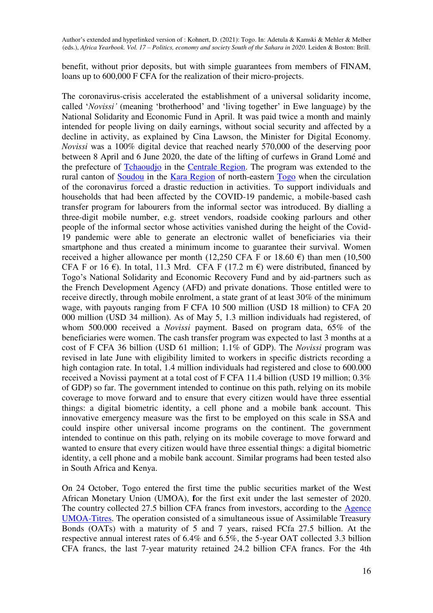benefit, without prior deposits, but with simple guarantees from members of FINAM, loans up to 600,000 F CFA for the realization of their micro-projects.

The coronavirus-crisis accelerated the establishment of a universal solidarity income, called '*Novissi'* (meaning 'brotherhood' and 'living together' in Ewe language) by the National Solidarity and Economic Fund in April. It was paid twice a month and mainly intended for people living on daily earnings, without social security and affected by a decline in activity, as explained by Cina Lawson, the Minister for Digital Economy. *Novissi* was a 100% digital device that reached nearly 570,000 of the deserving poor between 8 April and 6 June 2020, the date of the lifting of curfews in Grand Lomé and the prefecture of [Tchaoudjo](https://en.wikipedia.org/wiki/Tchaoudjo_Prefecture) in the [Centrale Region.](https://en.wikipedia.org/wiki/Centrale_Region,_Togo) The program was extended to the rural canton of [Soudou](https://en.wikipedia.org/wiki/Soudou) in the [Kara Region](https://en.wikipedia.org/wiki/Kara_Region) of north-eastern [Togo](https://en.wikipedia.org/wiki/Togo) when the circulation of the coronavirus forced a drastic reduction in activities. To support individuals and households that had been affected by the COVID-19 pandemic, a mobile-based cash transfer program for labourers from the informal sector was introduced. By dialling a three-digit mobile number, e.g. street vendors, roadside cooking parlours and other people of the informal sector whose activities vanished during the height of the Covid-19 pandemic were able to generate an electronic wallet of beneficiaries via their smartphone and thus created a minimum income to guarantee their survival. Women received a higher allowance per month (12,250 CFA F or 18.60  $\epsilon$ ) than men (10,500 CFA F or 16  $\epsilon$ ). In total, 11.3 Mrd. CFA F (17.2 m  $\epsilon$ ) were distributed, financed by Togo's National Solidarity and Economic Recovery Fund and by aid-partners such as the French Development Agency (AFD) and private donations. Those entitled were to receive directly, through mobile enrolment, a state grant of at least 30% of the minimum wage, with payouts ranging from F CFA 10 500 million (USD 18 million) to CFA 20 000 million (USD 34 million). As of May 5, 1.3 million individuals had registered, of whom 500.000 received a *Novissi* payment. Based on program data, 65% of the beneficiaries were women. The cash transfer program was expected to last 3 months at a cost of F CFA 36 billion (USD 61 million; 1.1% of GDP). The *Novissi* program was revised in late June with eligibility limited to workers in specific districts recording a high contagion rate. In total, 1.4 million individuals had registered and close to 600.000 received a Novissi payment at a total cost of F CFA 11.4 billion (USD 19 million; 0.3% of GDP) so far. The government intended to continue on this path, relying on its mobile coverage to move forward and to ensure that every citizen would have three essential things: a digital biometric identity, a cell phone and a mobile bank account. This innovative emergency measure was the first to be employed on this scale in SSA and could inspire other universal income programs on the continent. The government intended to continue on this path, relying on its mobile coverage to move forward and wanted to ensure that every citizen would have three essential things: a digital biometric identity, a cell phone and a mobile bank account. Similar programs had been tested also in South Africa and Kenya.

On 24 October, Togo entered the first time the public securities market of the West African Monetary Union (UMOA), **f**or the first exit under the last semester of 2020. The country collected 27.5 billion CFA francs from investors, according to the [Agence](https://www.icilome.com/actualites/888121/togo-umoa-titres-le-togo-recolte-27-5-milliards-fcfa-pour-sa-premiere-sortie-au-4e-trimestre)  [UMOA-Titres.](https://www.icilome.com/actualites/888121/togo-umoa-titres-le-togo-recolte-27-5-milliards-fcfa-pour-sa-premiere-sortie-au-4e-trimestre) The operation consisted of a simultaneous issue of Assimilable Treasury Bonds (OATs) with a maturity of 5 and 7 years, raised FCfa 27.5 billion. At the respective annual interest rates of 6.4% and 6.5%, the 5-year OAT collected 3.3 billion CFA francs, the last 7-year maturity retained 24.2 billion CFA francs. For the 4th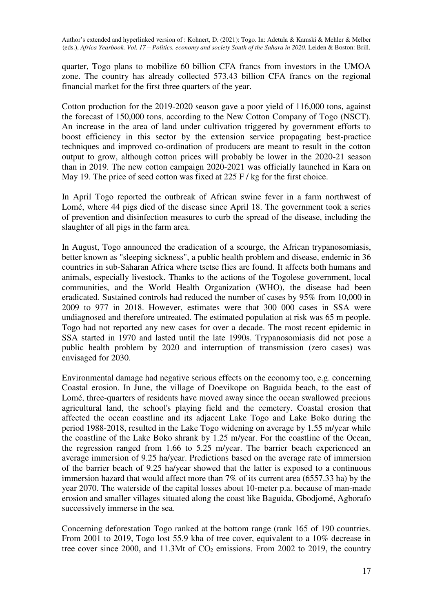quarter, Togo plans to mobilize 60 billion CFA francs from investors in the UMOA zone. The country has already collected 573.43 billion CFA francs on the regional financial market for the first three quarters of the year.

Cotton production for the 2019-2020 season gave a poor yield of 116,000 tons, against the forecast of 150,000 tons, according to the New Cotton Company of Togo (NSCT). An increase in the area of land under cultivation triggered by government efforts to boost efficiency in this sector by the extension service propagating best-practice techniques and improved co-ordination of producers are meant to result in the cotton output to grow, although cotton prices will probably be lower in the 2020-21 season than in 2019. The new cotton campaign 2020-2021 was officially launched in Kara on May 19. The price of seed cotton was fixed at 225 F / kg for the first choice.

In April Togo reported the outbreak of African swine fever in a farm northwest of Lomé, where 44 pigs died of the disease since April 18. The government took a series of prevention and disinfection measures to curb the spread of the disease, including the slaughter of all pigs in the farm area.

In August, Togo announced the eradication of a scourge, the African trypanosomiasis, better known as "sleeping sickness", a public health problem and disease, endemic in 36 countries in sub-Saharan Africa where tsetse flies are found. It affects both humans and animals, especially livestock. Thanks to the actions of the Togolese government, local communities, and the World Health Organization (WHO), the disease had been eradicated. Sustained controls had reduced the number of cases by 95% from 10,000 in 2009 to 977 in 2018. However, estimates were that 300 000 cases in SSA were undiagnosed and therefore untreated. The estimated population at risk was 65 m people. Togo had not reported any new cases for over a decade. The most recent epidemic in SSA started in 1970 and lasted until the late 1990s. Trypanosomiasis did not pose a public health problem by 2020 and interruption of transmission (zero cases) was envisaged for 2030.

Environmental damage had negative serious effects on the economy too, e.g. concerning Coastal erosion. In June, the village of Doevikope on Baguida beach, to the east of Lomé, three-quarters of residents have moved away since the ocean swallowed precious agricultural land, the school's playing field and the cemetery. Coastal erosion that affected the ocean coastline and its adjacent Lake Togo and Lake Boko during the period 1988-2018, resulted in the Lake Togo widening on average by 1.55 m/year while the coastline of the Lake Boko shrank by 1.25 m/year. For the coastline of the Ocean, the regression ranged from 1.66 to 5.25 m/year. The barrier beach experienced an average immersion of 9.25 ha/year. Predictions based on the average rate of immersion of the barrier beach of 9.25 ha/year showed that the latter is exposed to a continuous immersion hazard that would affect more than 7% of its current area (6557.33 ha) by the year 2070. The waterside of the capital losses about 10-meter p.a. because of man-made erosion and smaller villages situated along the coast like Baguida, Gbodjomé, Agborafo successively immerse in the sea.

Concerning deforestation Togo ranked at the bottom range (rank 165 of 190 countries. From 2001 to 2019, Togo lost 55.9 kha of tree cover, equivalent to a 10% decrease in tree cover since 2000, and 11.3Mt of CO<sub>2</sub> emissions. From 2002 to 2019, the country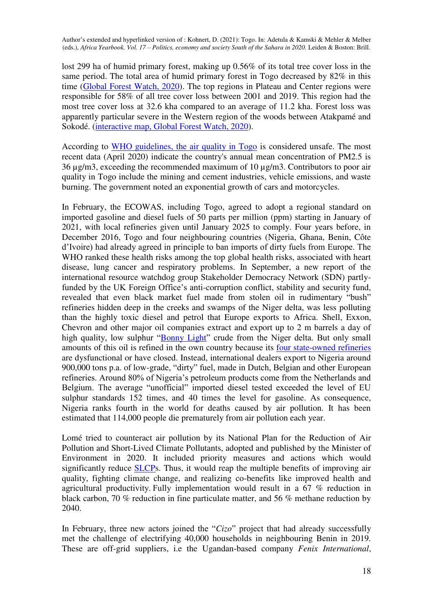lost 299 ha of humid primary forest, making up 0.56% of its total tree cover loss in the same period. The total area of humid primary forest in Togo decreased by 82% in this time [\(Global Forest Watch, 2020\)](https://www.globalforestwatch.org/dashboards/country/TGO/?category=summary&dashboardPrompts=eyJzaG93UHJvbXB0cyI6dHJ1ZSwicHJvbXB0c1ZpZXdlZCI6WyJ2aWV3TmF0aW9uYWxEYXNoYm9hcmRzIiwic2hhcmVXaWRnZXQiXSwic2V0dGluZ3MiOnsic2hvd1Byb21wdHMiOnRydWUsInByb21wdHNWaWV3ZWQiOlsidmlld05hdGlvbmFsRGFzaGJvYXJkcyJdLCJzZXR0aW5ncyI6eyJzaG93UHJvbXB0cyI6dHJ1ZSwicHJvbXB0c1ZpZXdlZCI6W10sInNldHRpbmdzIjp7Im9wZW4iOmZhbHNlLCJzdGVwSW5kZXgiOjAsInN0ZXBzS2V5IjoiIn0sIm9wZW4iOnRydWUsInN0ZXBJbmRleCI6MCwic3RlcHNLZXkiOiJ2aWV3TmF0aW9uYWxEYXNoYm9hcmRzIn0sIm9wZW4iOnRydWUsInN0ZXBJbmRleCI6MCwic3RlcHNLZXkiOiJzaGFyZVdpZGdldCJ9LCJvcGVuIjp0cnVlLCJzdGVwc0tleSI6IndpZGdldFNldHRpbmdzIn0%3D&location=WyJjb3VudHJ5IiwiVEdPIl0%3D&map=eyJjZW50ZXIiOnsibGF0Ijo4LjYzMjY1ODA2NzA3NDY2NSwibG5nIjowLjgzMjM0MzAwNTAxMDQxODZ9LCJ6b29tIjo2LjQ0NjA3MzA0ODIyODIwNCwiY2FuQm91bmQiOmZhbHNlLCJkYXRhc2V0cyI6W3siZGF0YXNldCI6InBvbGl0aWNhbC1ib3VuZGFyaWVzIiwibGF5ZXJzIjpbImRpc3B1dGVkLXBvbGl0aWNhbC1ib3VuZGFyaWVzIiwicG9saXRpY2FsLWJvdW5kYXJpZXMiXSwiYm91bmRhcnkiOnRydWUsIm9wYWNpdHkiOjEsInZpc2liaWxpdHkiOnRydWV9LHsiZGF0YXNldCI6InRyZWUtY292ZXItbG9zcyIsImxheWVycyI6WyJ0cmVlLWNvdmVyLWxvc3MiXSwib3BhY2l0eSI6MSwidmlzaWJpbGl0eSI6dHJ1ZSwicGFyYW1zIjp7InRocmVzaCI6MzAsInZpc2liaWxpdHkiOnRydWV9fV19&treeLossPct=eyJpbnRlcmFjdGlvbiI6e30sImhpZ2hsaWdodGVkIjpmYWxzZX0%3D). The top regions in Plateau and Center regions were responsible for 58% of all tree cover loss between 2001 and 2019. This region had the most tree cover loss at 32.6 kha compared to an average of 11.2 kha. Forest loss was apparently particular severe in the Western region of the woods between Atakpamé and Sokodé. [\(interactive map, Global Forest Watch, 2020\)](https://www.globalforestwatch.org/dashboards/country/TGO/?category=summary&dashboardPrompts=eyJzaG93UHJvbXB0cyI6dHJ1ZSwicHJvbXB0c1ZpZXdlZCI6WyJ2aWV3TmF0aW9uYWxEYXNoYm9hcmRzIiwic2hhcmVXaWRnZXQiXSwic2V0dGluZ3MiOnsic2hvd1Byb21wdHMiOnRydWUsInByb21wdHNWaWV3ZWQiOlsidmlld05hdGlvbmFsRGFzaGJvYXJkcyJdLCJzZXR0aW5ncyI6eyJzaG93UHJvbXB0cyI6dHJ1ZSwicHJvbXB0c1ZpZXdlZCI6W10sInNldHRpbmdzIjp7Im9wZW4iOmZhbHNlLCJzdGVwSW5kZXgiOjAsInN0ZXBzS2V5IjoiIn0sIm9wZW4iOnRydWUsInN0ZXBJbmRleCI6MCwic3RlcHNLZXkiOiJ2aWV3TmF0aW9uYWxEYXNoYm9hcmRzIn0sIm9wZW4iOnRydWUsInN0ZXBJbmRleCI6MCwic3RlcHNLZXkiOiJzaGFyZVdpZGdldCJ9LCJvcGVuIjp0cnVlLCJzdGVwc0tleSI6IndpZGdldFNldHRpbmdzIn0%3D&location=WyJjb3VudHJ5IiwiVEdPIl0%3D&map=eyJjZW50ZXIiOnsibGF0Ijo4LjYzMjY1ODA2NzA3NDY2NSwibG5nIjowLjgzMjM0MzAwNTAxMDQxODZ9LCJ6b29tIjo2LjQ0NjA3MzA0ODIyODIwNCwiY2FuQm91bmQiOmZhbHNlLCJkYXRhc2V0cyI6W3siZGF0YXNldCI6InBvbGl0aWNhbC1ib3VuZGFyaWVzIiwibGF5ZXJzIjpbImRpc3B1dGVkLXBvbGl0aWNhbC1ib3VuZGFyaWVzIiwicG9saXRpY2FsLWJvdW5kYXJpZXMiXSwiYm91bmRhcnkiOnRydWUsIm9wYWNpdHkiOjEsInZpc2liaWxpdHkiOnRydWV9LHsiZGF0YXNldCI6InRyZWUtY292ZXItbG9zcyIsImxheWVycyI6WyJ0cmVlLWNvdmVyLWxvc3MiXSwib3BhY2l0eSI6MSwidmlzaWJpbGl0eSI6dHJ1ZSwicGFyYW1zIjp7InRocmVzaCI6MzAsInZpc2liaWxpdHkiOnRydWV9fV19&treeLoss=eyJpbnRlcmFjdGlvbiI6e319&treeLossPct=eyJpbnRlcmFjdGlvbiI6e30sImhpZ2hsaWdodGVkIjpmYWxzZX0%3D).

According to [WHO guidelines, the air quality in Togo](https://www.unenvironment.org/resources/report/air-quality-policies-togo) is considered unsafe. The most recent data (April 2020) indicate the country's annual mean concentration of PM2.5 is 36 µg/m3, exceeding the recommended maximum of 10 µg/m3. Contributors to poor air quality in Togo include the mining and cement industries, vehicle emissions, and waste burning. The government noted an exponential growth of cars and motorcycles.

In February, the ECOWAS, including Togo, agreed to adopt a regional standard on imported gasoline and diesel fuels of 50 parts per million (ppm) starting in January of 2021, with local refineries given until January 2025 to comply. Four years before, in December 2016, Togo and four neighbouring countries (Nigeria, Ghana, Benin, Côte d'Ivoire) had already agreed in principle to ban imports of dirty fuels from Europe. The WHO ranked these health risks among the top global health risks, associated with heart disease, lung cancer and respiratory problems. In September, a new report of the international resource watchdog group Stakeholder Democracy Network (SDN) partlyfunded by the UK Foreign Office's anti-corruption conflict, stability and security fund, revealed that even black market fuel made from stolen oil in rudimentary "bush" refineries hidden deep in the creeks and swamps of the Niger delta, was less polluting than the highly toxic diesel and petrol that Europe exports to Africa. Shell, Exxon, Chevron and other major oil companies extract and export up to 2 m barrels a day of high quality, low sulphur "[Bonny Light](https://en.wikipedia.org/wiki/Bonny_Light_oil)" crude from the Niger delta. But only small amounts of this oil is refined in the own country because its [four state-owned refineries](https://en.wikipedia.org/wiki/Petroleum_industry_in_Nigeria#cite_ref-ONP_16-1) are dysfunctional or have closed. Instead, international dealers export to Nigeria around 900,000 tons p.a. of low-grade, "dirty" fuel, made in Dutch, Belgian and other European refineries. Around 80% of Nigeria's petroleum products come from the Netherlands and Belgium. The average "unofficial" imported diesel tested exceeded the level of EU sulphur standards 152 times, and 40 times the level for gasoline. As consequence, Nigeria ranks fourth in the world for deaths caused by air pollution. It has been estimated that 114,000 people die prematurely from air pollution each year.

Lomé tried to counteract air pollution by its National Plan for the Reduction of Air Pollution and Short-Lived Climate Pollutants, adopted and published by the Minister of Environment in 2020. It included priority measures and actions which would significantly reduce [SLCPs](https://en.wikipedia.org/wiki/Climate_and_Clean_Air_Coalition_to_Reduce_Short-Lived_Climate_Pollutants#Short-lived_climate_pollutants). Thus, it would reap the multiple benefits of improving air quality, fighting climate change, and realizing co-benefits like improved health and agricultural productivity. Fully implementation would result in a 67 % reduction in black carbon, 70 % reduction in fine particulate matter, and 56 % methane reduction by 2040.

In February, three new actors joined the "*Cizo*" project that had already successfully met the challenge of electrifying 40,000 households in neighbouring Benin in 2019. These are off-grid suppliers, i.e the Ugandan-based company *Fenix International*,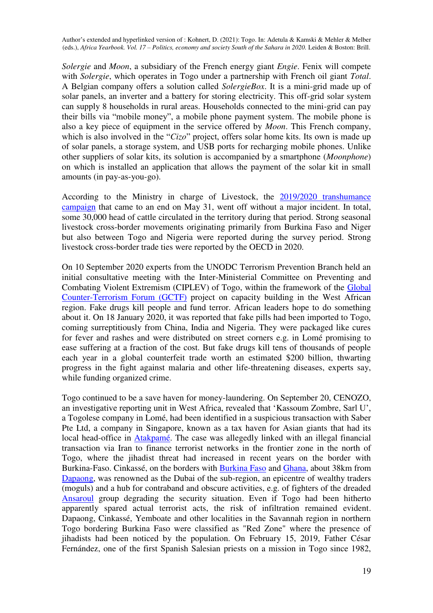*Solergie* and *Moon*, a subsidiary of the French energy giant *Engie*. Fenix will compete with *Solergie*, which operates in Togo under a partnership with French oil giant *Total*. A Belgian company offers a solution called *SolergieBox*. It is a mini-grid made up of solar panels, an inverter and a battery for storing electricity. This off-grid solar system can supply 8 households in rural areas. Households connected to the mini-grid can pay their bills via "mobile money", a mobile phone payment system. The mobile phone is also a key piece of equipment in the service offered by *Moon*. This French company, which is also involved in the "*Cizo*" project, offers solar home kits. Its own is made up of solar panels, a storage system, and USB ports for recharging mobile phones. Unlike other suppliers of solar kits, its solution is accompanied by a smartphone (*Moonphone*) on which is installed an application that allows the payment of the solar kit in small amounts (in pay-as-you-go).

According to the Ministry in charge of Livestock, the [2019/2020 transhumance](https://www.togofirst.com/fr/agro/0306-5646-elevage-la-campagne-de-transhumance-2020-se-termine-sans-incident-majeur)  [campaign](https://www.togofirst.com/fr/agro/0306-5646-elevage-la-campagne-de-transhumance-2020-se-termine-sans-incident-majeur) that came to an end on May 31, went off without a major incident. In total, some 30,000 head of cattle circulated in the territory during that period. Strong seasonal livestock cross-border movements originating primarily from Burkina Faso and Niger but also between Togo and Nigeria were reported during the survey period. Strong livestock cross-border trade ties were reported by the OECD in 2020.

On 10 September 2020 experts from the UNODC Terrorism Prevention Branch held an initial consultative meeting with the Inter-Ministerial Committee on Preventing and Combating Violent Extremism (CIPLEV) of Togo, within the framework of the [Global](https://en.wikipedia.org/wiki/Global_Counterterrorism_Forum)  [Counter-Terrorism Forum \(GCTF\)](https://en.wikipedia.org/wiki/Global_Counterterrorism_Forum) project on capacity building in the West African region. Fake drugs kill people and fund terror. African leaders hope to do something about it. On 18 January 2020, it was reported that fake pills had been imported to Togo, coming surreptitiously from China, India and Nigeria. They were packaged like cures for fever and rashes and were distributed on street corners e.g. in Lomé promising to ease suffering at a fraction of the cost. But fake drugs kill tens of thousands of people each year in a global counterfeit trade worth an estimated \$200 billion, thwarting progress in the fight against malaria and other life-threatening diseases, experts say, while funding organized crime.

Togo continued to be a save haven for money-laundering. On September 20, CENOZO, an investigative reporting unit in West Africa, revealed that 'Kassoum Zombre, Sarl U', a Togolese company in Lomé, had been identified in a suspicious transaction with Saber Pte Ltd, a company in Singapore, known as a tax haven for Asian giants that had its local head-office in [Atakpamé.](https://en.wikipedia.org/wiki/Atakpam%C3%A9) The case was allegedly linked with an illegal financial transaction via Iran to finance terrorist networks in the frontier zone in the north of Togo, where the jihadist threat had increased in recent years on the border with Burkina-Faso. Cinkassé, on the borders with [Burkina Faso](https://en.wikipedia.org/wiki/Burkina_Faso) and [Ghana,](https://en.wikipedia.org/wiki/Ghana) about 38km from [Dapaong,](https://en.wikipedia.org/wiki/Dapaong) was renowned as the Dubai of the sub-region, an epicentre of wealthy traders (moguls) and a hub for contraband and obscure activities, e.g. of fighters of the dreaded [Ansaroul](https://en.wikipedia.org/wiki/Ansar_ul_Islam) group degrading the security situation. Even if Togo had been hitherto apparently spared actual terrorist acts, the risk of infiltration remained evident. Dapaong, Cinkassé, Yemboate and other localities in the Savannah region in northern Togo bordering Burkina Faso were classified as "Red Zone" where the presence of jihadists had been noticed by the population. On February 15, 2019, Father César Fernández, one of the first Spanish Salesian priests on a mission in Togo since 1982,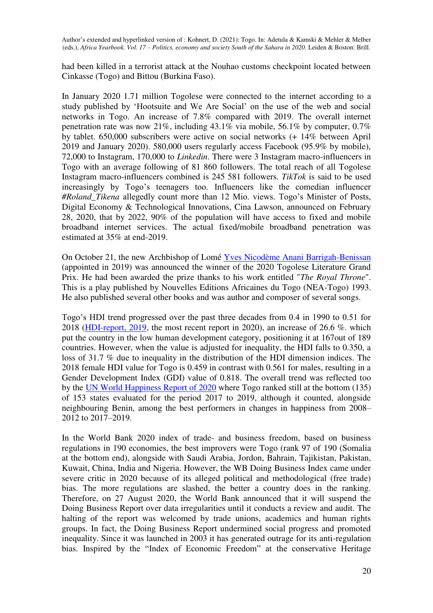had been killed in a terrorist attack at the Nouhao customs checkpoint located between Cinkasse (Togo) and Bittou (Burkina Faso).

In January 2020 1.71 million Togolese were connected to the internet according to a study published by 'Hootsuite and We Are Social' on the use of the web and social networks in Togo. An increase of 7.8% compared with 2019. The overall internet penetration rate was now 21%, including  $43.1\%$  via mobile,  $56.1\%$  by computer,  $0.7\%$ by tablet. 650,000 subscribers were active on social networks (+ 14% between April 2019 and January 2020). 580,000 users regularly access Facebook (95.9% by mobile), 72,000 to Instagram, 170,000 to *Linkedin*. There were 3 Instagram macro-influencers in Togo with an average following of 81 860 followers. The total reach of all Togolese Instagram macro-influencers combined is 245 581 followers. *TikTok* is said to be used increasingly by Togo's teenagers too. Influencers like the comedian influencer *#Roland\_Tikena* allegedly count more than 12 Mio. views. Togo's Minister of Posts, Digital Economy & Technological Innovations, Cina Lawson, announced on February 28, 2020, that by 2022, 90% of the population will have access to fixed and mobile broadband internet services. The actual fixed/mobile broadband penetration was estimated at 35% at end-2019.

On October 21, the new Archbishop of Lomé [Yves Nicodème Anani Barrigah-Benissan](https://fr.wikipedia.org/wiki/Nicod%C3%A8me_Barrigah) (appointed in 2019) was announced the winner of the 2020 Togolese Literature Grand Prix. He had been awarded the prize thanks to his work entitled "*The Royal Throne*". This is a play published by Nouvelles Editions Africaines du Togo (NEA-Togo) 1993. He also published several other books and was author and composer of several songs.

Togo's HDI trend progressed over the past three decades from 0.4 in 1990 to 0.51 for 2018 [\(HDI-report, 2019,](http://hdr.undp.org/sites/all/themes/hdr_theme/country-notes/TGO.pdf) the most recent report in 2020), an increase of 26.6 %. which put the country in the low human development category, positioning it at 167out of 189 countries. However, when the value is adjusted for inequality, the HDI falls to 0.350, a loss of 31.7 % due to inequality in the distribution of the HDI dimension indices. The 2018 female HDI value for Togo is 0.459 in contrast with 0.561 for males, resulting in a Gender Development Index (GDI) value of 0.818. The overall trend was reflected too by the [UN World Happiness Report of 2020](https://happiness-report.s3.amazonaws.com/2020/WHR20.pdf) where Togo ranked still at the bottom (135) of 153 states evaluated for the period 2017 to 2019, although it counted, alongside neighbouring Benin, among the best performers in changes in happiness from 2008– 2012 to 2017–2019.

In the World Bank 2020 index of trade- and business freedom, based on business regulations in 190 economies, the best improvers were Togo (rank 97 of 190 (Somalia at the bottom end), alongside with Saudi Arabia, Jordon, Bahrain, Tajikistan, Pakistan, Kuwait, China, India and Nigeria. However, the WB Doing Business Index came under severe critic in 2020 because of its alleged political and methodological (free trade) bias. The more regulations are slashed, the better a country does in the ranking. Therefore, on 27 August 2020, the World Bank announced that it will suspend the Doing Business Report over data irregularities until it conducts a review and audit. The halting of the report was welcomed by trade unions, academics and human rights groups. In fact, the Doing Business Report undermined social progress and promoted inequality. Since it was launched in 2003 it has generated outrage for its anti-regulation bias. Inspired by the "Index of Economic Freedom" at the conservative Heritage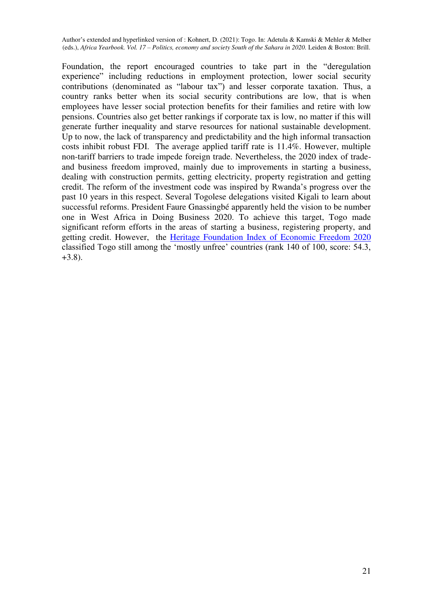Foundation, the report encouraged countries to take part in the "deregulation experience" including reductions in employment protection, lower social security contributions (denominated as "labour tax") and lesser corporate taxation. Thus, a country ranks better when its social security contributions are low, that is when employees have lesser social protection benefits for their families and retire with low pensions. Countries also get better rankings if corporate tax is low, no matter if this will generate further inequality and starve resources for national sustainable development. Up to now, the lack of transparency and predictability and the high informal transaction costs inhibit robust FDI. The average applied tariff rate is 11.4%. However, multiple non-tariff barriers to trade impede foreign trade. Nevertheless, the 2020 index of tradeand business freedom improved, mainly due to improvements in starting a business, dealing with construction permits, getting electricity, property registration and getting credit. The reform of the investment code was inspired by Rwanda's progress over the past 10 years in this respect. Several Togolese delegations visited Kigali to learn about successful reforms. President Faure Gnassingbé apparently held the vision to be number one in West Africa in Doing Business 2020. To achieve this target, Togo made significant reform efforts in the areas of starting a business, registering property, and getting credit. However, the [Heritage Foundation Index of Economic Freedom 2020](https://www.heritage.org/index/ranking) classified Togo still among the 'mostly unfree' countries (rank 140 of 100, score: 54.3, +3.8).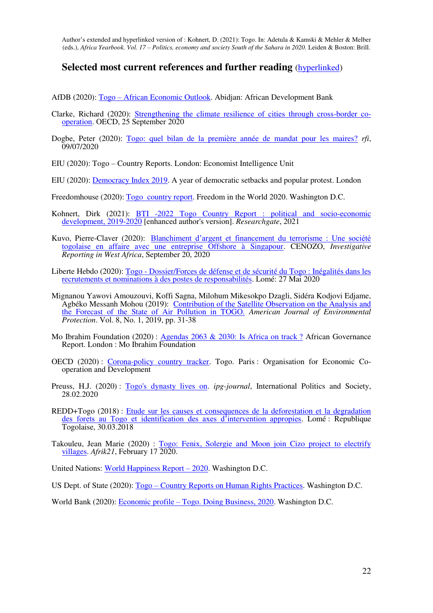#### **Selected most current references and further reading** [\(hyperlinked\)](https://de.wikipedia.org/wiki/Hyperlink)

AfDB (2020): Togo – [African Economic Outlook.](https://www.afdb.org/en/countries/west-africa/togo/togo-economic-outlook/) Abidjan: African Development Bank

- Clarke, Richard (2020): [Strengthening the climate resilience of cities through cross-border co](https://oecd-development-matters.org/2020/09/25/strengthening-the-climate-resilience-of-cities-through-cross-border-co-operation/)[operation.](https://oecd-development-matters.org/2020/09/25/strengthening-the-climate-resilience-of-cities-through-cross-border-co-operation/) OECD, 25 September 2020
- Dogbe, Peter (2020): [Togo: quel bilan de la première année de mandat pour les maires?](https://www.rfi.fr/fr/podcasts/20200709-togo-bilan-la-premi%C3%A8re-ann%C3%A9e-mandat-les-maires) *rfi*, 09/07/2020
- EIU (2020): Togo Country Reports. London: Economist Intelligence Unit
- EIU (2020): [Democracy Index 2019.](https://www.eiu.com/topic/democracy-index) A year of democratic setbacks and popular protest. London

Freedomhouse (2020): [Togo country report.](https://freedomhouse.org/country/togo/freedom-world/2020) Freedom in the World 2020. Washington D.C.

- Kohnert, Dirk (2021): [BTI -2022 Togo Country Report : political and socio-economic](https://www.researchgate.net/publication/344892000_BTI_-2022_Togo_Country_Report_political_and_socio-economic_development_2019-2020_enhanced_author)  [development, 2019-2020](https://www.researchgate.net/publication/344892000_BTI_-2022_Togo_Country_Report_political_and_socio-economic_development_2019-2020_enhanced_author) [enhanced author's version]. *Researchgate*, 2021
- Kuvo, Pierre-Claver (2020): [Blanchiment d'argent et financement du terrorisme : Une société](https://cenozo.org/en/articles/251-blanchiment-d-argent-et-financement-du-terrorisme-une-societe-togolaise-en-affaire-avec-une-entreprise-offshore-a-singapour)  [togolaise en affaire avec une entreprise Offshore à Singapour.](https://cenozo.org/en/articles/251-blanchiment-d-argent-et-financement-du-terrorisme-une-societe-togolaise-en-affaire-avec-une-entreprise-offshore-a-singapour) CENOZO, *Investigative Reporting in West Africa*, September 20, 2020
- Liberte Hebdo (2020): [Togo Dossier/Forces de défense et de sécurité du Togo : Inégalités dans les](https://www.icilome.com/actualites/883792/togo-dossierforces-de-defense-et-de-securite-du-togo-inegalites-dans-les-recrutements-et-nominations-a-des-postes-de-responsabilites)  [recrutements et nominations à des postes de responsabilités.](https://www.icilome.com/actualites/883792/togo-dossierforces-de-defense-et-de-securite-du-togo-inegalites-dans-les-recrutements-et-nominations-a-des-postes-de-responsabilites) Lomé: 27 Mai 2020
- Mignanou Yawovi Amouzouvi, Koffi Sagna, Milohum Mikesokpo Dzagli, Sidéra Kodjovi Edjame, Agbéko Messanh Mohou (2019): [Contribution of the Satellite Observation on the Analysis and](https://www.researchgate.net/publication/332188891_Contribution_of_the_Satellite_Observation_on_the_Analysis_and_the_Forecast_of_the_State_of_Air_Pollution_in_TOGO)  [the Forecast of the State of Air Pollution in TOGO.](https://www.researchgate.net/publication/332188891_Contribution_of_the_Satellite_Observation_on_the_Analysis_and_the_Forecast_of_the_State_of_Air_Pollution_in_TOGO) *American Journal of Environmental Protection*. Vol. 8, No. 1, 2019, pp. 31-38
- Mo Ibrahim Foundation (2020) : [Agendas 2063 & 2030: Is Africa on track ?](https://mo.ibrahim.foundation/news/tag/agenda-2063) African Governance Report. London : Mo Ibrahim Foundation
- OECD (2020) : [Corona-policy country tracker.](https://www.oecd.org/coronavirus/country-policy-tracker/) Togo. Paris : Organisation for Economic Cooperation and Development
- Preuss, H.J. (2020) : [Togo's dynasty lives on.](https://www.ips-journal.eu/regions/africa/togos-dynasty-lives-on-4111/) *ipg-journal*, International Politics and Society, 28.02.2020
- REDD+Togo (2018) : Etude sur les causes et consequences de la deforestation et la degradation [des forets au Togo et identification des axes d'intervention appropies](http://www.reddtogo.tg/index.php/composantes/etudes-analytiques/38-etudes-analytiques/140-les-resultats-de-l-etude-sur-les-causes-et-consequences-de-la-deforestation-et-de-la-degradation-des-forets-au-togo-ainsi-que-celle-sur-l-utilisation-des-terres-valides). Lomé : Republique Togolaise, 30.03.2018
- Takouleu, Jean Marie (2020) : Togo: Fenix, Solergie and Moon join Cizo project to electrify [villages.](https://www.afrik21.africa/en/togo-fenix-solergie-and-moon-join-cizo-project-to-electrify-villages/) *Afrik21*, February 17 2020.

United Nations: [World Happiness Report](https://happiness-report.s3.amazonaws.com/2020/WHR20.pdf) – 2020. Washington D.C.

US Dept. of State (2020): Togo – [Country Reports on Human Rights Practices.](https://www.state.gov/reports/2019-country-reports-on-human-rights-practices/togo/) Washington D.C.

World Bank (2020): Economic profile – [Togo. Doing Business, 2020.](https://www.doingbusiness.org/en/data/exploreeconomies/togo) Washington D.C.